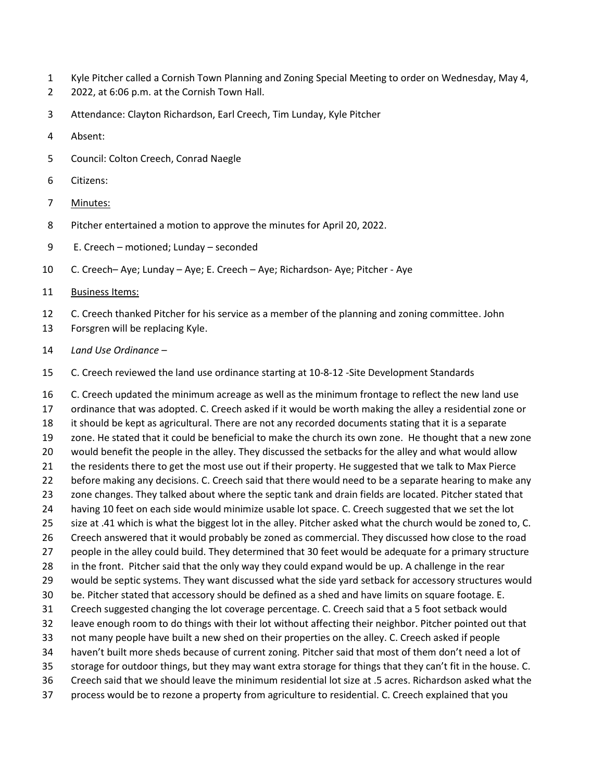- Kyle Pitcher called a Cornish Town Planning and Zoning Special Meeting to order on Wednesday, May 4,
- 2022, at 6:06 p.m. at the Cornish Town Hall.
- Attendance: Clayton Richardson, Earl Creech, Tim Lunday, Kyle Pitcher
- Absent:
- Council: Colton Creech, Conrad Naegle
- Citizens:
- Minutes:
- Pitcher entertained a motion to approve the minutes for April 20, 2022.
- E. Creech motioned; Lunday seconded
- C. Creech– Aye; Lunday Aye; E. Creech Aye; Richardson- Aye; Pitcher Aye
- Business Items:
- C. Creech thanked Pitcher for his service as a member of the planning and zoning committee. John
- Forsgren will be replacing Kyle.
- *Land Use Ordinance –*
- C. Creech reviewed the land use ordinance starting at 10-8-12 -Site Development Standards

 C. Creech updated the minimum acreage as well as the minimum frontage to reflect the new land use ordinance that was adopted. C. Creech asked if it would be worth making the alley a residential zone or it should be kept as agricultural. There are not any recorded documents stating that it is a separate zone. He stated that it could be beneficial to make the church its own zone. He thought that a new zone would benefit the people in the alley. They discussed the setbacks for the alley and what would allow 21 the residents there to get the most use out if their property. He suggested that we talk to Max Pierce before making any decisions. C. Creech said that there would need to be a separate hearing to make any 23 zone changes. They talked about where the septic tank and drain fields are located. Pitcher stated that having 10 feet on each side would minimize usable lot space. C. Creech suggested that we set the lot size at .41 which is what the biggest lot in the alley. Pitcher asked what the church would be zoned to, C. Creech answered that it would probably be zoned as commercial. They discussed how close to the road people in the alley could build. They determined that 30 feet would be adequate for a primary structure in the front. Pitcher said that the only way they could expand would be up. A challenge in the rear would be septic systems. They want discussed what the side yard setback for accessory structures would be. Pitcher stated that accessory should be defined as a shed and have limits on square footage. E. Creech suggested changing the lot coverage percentage. C. Creech said that a 5 foot setback would leave enough room to do things with their lot without affecting their neighbor. Pitcher pointed out that not many people have built a new shed on their properties on the alley. C. Creech asked if people haven't built more sheds because of current zoning. Pitcher said that most of them don't need a lot of storage for outdoor things, but they may want extra storage for things that they can't fit in the house. C. Creech said that we should leave the minimum residential lot size at .5 acres. Richardson asked what the process would be to rezone a property from agriculture to residential. C. Creech explained that you